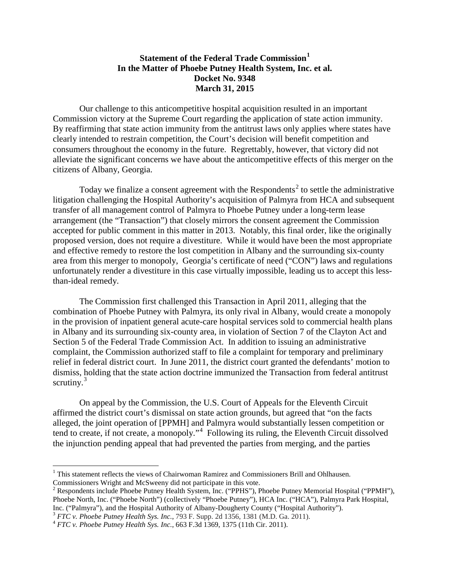## **Statement of the Federal Trade Commission[1](#page-0-0) In the Matter of Phoebe Putney Health System, Inc. et al. Docket No. 9348 March 31, 2015**

Our challenge to this anticompetitive hospital acquisition resulted in an important Commission victory at the Supreme Court regarding the application of state action immunity. By reaffirming that state action immunity from the antitrust laws only applies where states have clearly intended to restrain competition, the Court's decision will benefit competition and consumers throughout the economy in the future. Regrettably, however, that victory did not alleviate the significant concerns we have about the anticompetitive effects of this merger on the citizens of Albany, Georgia.

Today we finalize a consent agreement with the Respondents<sup>[2](#page-0-1)</sup> to settle the administrative litigation challenging the Hospital Authority's acquisition of Palmyra from HCA and subsequent transfer of all management control of Palmyra to Phoebe Putney under a long-term lease arrangement (the "Transaction") that closely mirrors the consent agreement the Commission accepted for public comment in this matter in 2013. Notably, this final order, like the originally proposed version, does not require a divestiture. While it would have been the most appropriate and effective remedy to restore the lost competition in Albany and the surrounding six-county area from this merger to monopoly, Georgia's certificate of need ("CON") laws and regulations unfortunately render a divestiture in this case virtually impossible, leading us to accept this lessthan-ideal remedy.

The Commission first challenged this Transaction in April 2011, alleging that the combination of Phoebe Putney with Palmyra, its only rival in Albany, would create a monopoly in the provision of inpatient general acute-care hospital services sold to commercial health plans in Albany and its surrounding six-county area, in violation of Section 7 of the Clayton Act and Section 5 of the Federal Trade Commission Act. In addition to issuing an administrative complaint, the Commission authorized staff to file a complaint for temporary and preliminary relief in federal district court. In June 2011, the district court granted the defendants' motion to dismiss, holding that the state action doctrine immunized the Transaction from federal antitrust scrutiny. $3$ 

On appeal by the Commission, the U.S. Court of Appeals for the Eleventh Circuit affirmed the district court's dismissal on state action grounds, but agreed that "on the facts alleged, the joint operation of [PPMH] and Palmyra would substantially lessen competition or tend to create, if not create, a monopoly."<sup>[4](#page-0-3)</sup> Following its ruling, the Eleventh Circuit dissolved the injunction pending appeal that had prevented the parties from merging, and the parties

<span id="page-0-0"></span> $<sup>1</sup>$  This statement reflects the views of Chairwoman Ramirez and Commissioners Brill and Ohlhausen.</sup> Commissioners Wright and McSweeny did not participate in this vote.

<span id="page-0-1"></span><sup>&</sup>lt;sup>2</sup> Respondents include Phoebe Putney Health System, Inc. ("PPHS"), Phoebe Putney Memorial Hospital ("PPMH"), Phoebe North, Inc. ("Phoebe North") (collectively "Phoebe Putney"), HCA Inc. ("HCA"), Palmyra Park Hospital, Inc. ("Palmyra"), and the Hospital Authority of Albany-Dougherty County ("Hospital Authority").

<span id="page-0-2"></span> $3 FTC$  v. Phoebe Putney Health Sys. Inc., 793 F. Supp. 2d 1356, 1381 (M.D. Ga. 2011).<br> $4 FTC$  v. Phoebe Putney Health Sys. Inc., 663 F.3d 1369, 1375 (11th Cir. 2011).

<span id="page-0-3"></span>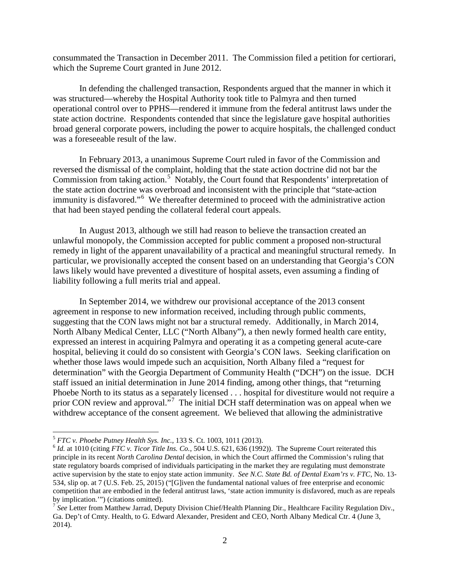consummated the Transaction in December 2011. The Commission filed a petition for certiorari, which the Supreme Court granted in June 2012.

In defending the challenged transaction, Respondents argued that the manner in which it was structured—whereby the Hospital Authority took title to Palmyra and then turned operational control over to PPHS—rendered it immune from the federal antitrust laws under the state action doctrine. Respondents contended that since the legislature gave hospital authorities broad general corporate powers, including the power to acquire hospitals, the challenged conduct was a foreseeable result of the law.

In February 2013, a unanimous Supreme Court ruled in favor of the Commission and reversed the dismissal of the complaint, holding that the state action doctrine did not bar the Commission from taking action.<sup>[5](#page-1-0)</sup> Notably, the Court found that Respondents' interpretation of the state action doctrine was overbroad and inconsistent with the principle that "state-action immunity is disfavored."<sup>[6](#page-1-1)</sup> We thereafter determined to proceed with the administrative action that had been stayed pending the collateral federal court appeals.

In August 2013, although we still had reason to believe the transaction created an unlawful monopoly, the Commission accepted for public comment a proposed non-structural remedy in light of the apparent unavailability of a practical and meaningful structural remedy. In particular, we provisionally accepted the consent based on an understanding that Georgia's CON laws likely would have prevented a divestiture of hospital assets, even assuming a finding of liability following a full merits trial and appeal.

In September 2014, we withdrew our provisional acceptance of the 2013 consent agreement in response to new information received, including through public comments, suggesting that the CON laws might not bar a structural remedy. Additionally, in March 2014, North Albany Medical Center, LLC ("North Albany"), a then newly formed health care entity, expressed an interest in acquiring Palmyra and operating it as a competing general acute-care hospital, believing it could do so consistent with Georgia's CON laws. Seeking clarification on whether those laws would impede such an acquisition, North Albany filed a "request for determination" with the Georgia Department of Community Health ("DCH") on the issue. DCH staff issued an initial determination in June 2014 finding, among other things, that "returning Phoebe North to its status as a separately licensed . . . hospital for divestiture would not require a prior CON review and approval."<sup>[7](#page-1-2)</sup> The initial DCH staff determination was on appeal when we withdrew acceptance of the consent agreement. We believed that allowing the administrative

<span id="page-1-1"></span><span id="page-1-0"></span> $5$  *FTC v. Phoebe Putney Health Sys. Inc.*, 133 S. Ct. 1003, 1011 (2013).<br><sup>6</sup> *Id.* at 1010 (citing *FTC v. Ticor Title Ins. Co.*, 504 U.S. 621, 636 (1992)). The Supreme Court reiterated this principle in its recent *North Carolina Dental* decision, in which the Court affirmed the Commission's ruling that state regulatory boards comprised of individuals participating in the market they are regulating must demonstrate active supervision by the state to enjoy state action immunity. *See N.C. State Bd. of Dental Exam'rs v. FTC*, No. 13- 534, slip op. at 7 (U.S. Feb. 25, 2015) ("[G]iven the fundamental national values of free enterprise and economic competition that are embodied in the federal antitrust laws, 'state action immunity is disfavored, much as are repeals by implication.'") (citations omitted).

<span id="page-1-2"></span><sup>&</sup>lt;sup>7</sup> See Letter from Matthew Jarrad, Deputy Division Chief/Health Planning Dir., Healthcare Facility Regulation Div., Ga. Dep't of Cmty. Health, to G. Edward Alexander, President and CEO, North Albany Medical Ctr. 4 (June 3, 2014).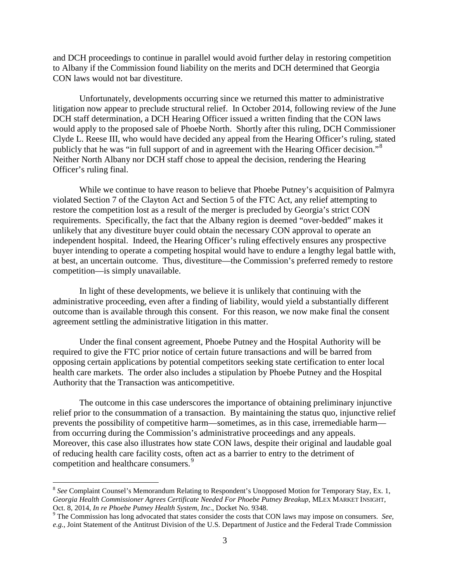and DCH proceedings to continue in parallel would avoid further delay in restoring competition to Albany if the Commission found liability on the merits and DCH determined that Georgia CON laws would not bar divestiture.

Unfortunately, developments occurring since we returned this matter to administrative litigation now appear to preclude structural relief. In October 2014, following review of the June DCH staff determination, a DCH Hearing Officer issued a written finding that the CON laws would apply to the proposed sale of Phoebe North. Shortly after this ruling, DCH Commissioner Clyde L. Reese III, who would have decided any appeal from the Hearing Officer's ruling, stated publicly that he was "in full support of and in agreement with the Hearing Officer decision."<sup>[8](#page-2-0)</sup> Neither North Albany nor DCH staff chose to appeal the decision, rendering the Hearing Officer's ruling final.

While we continue to have reason to believe that Phoebe Putney's acquisition of Palmyra violated Section 7 of the Clayton Act and Section 5 of the FTC Act, any relief attempting to restore the competition lost as a result of the merger is precluded by Georgia's strict CON requirements. Specifically, the fact that the Albany region is deemed "over-bedded" makes it unlikely that any divestiture buyer could obtain the necessary CON approval to operate an independent hospital. Indeed, the Hearing Officer's ruling effectively ensures any prospective buyer intending to operate a competing hospital would have to endure a lengthy legal battle with, at best, an uncertain outcome. Thus, divestiture—the Commission's preferred remedy to restore competition—is simply unavailable.

In light of these developments, we believe it is unlikely that continuing with the administrative proceeding, even after a finding of liability, would yield a substantially different outcome than is available through this consent. For this reason, we now make final the consent agreement settling the administrative litigation in this matter.

Under the final consent agreement, Phoebe Putney and the Hospital Authority will be required to give the FTC prior notice of certain future transactions and will be barred from opposing certain applications by potential competitors seeking state certification to enter local health care markets. The order also includes a stipulation by Phoebe Putney and the Hospital Authority that the Transaction was anticompetitive.

The outcome in this case underscores the importance of obtaining preliminary injunctive relief prior to the consummation of a transaction. By maintaining the status quo, injunctive relief prevents the possibility of competitive harm—sometimes, as in this case, irremediable harm from occurring during the Commission's administrative proceedings and any appeals. Moreover, this case also illustrates how state CON laws, despite their original and laudable goal of reducing health care facility costs, often act as a barrier to entry to the detriment of competition and healthcare consumers.<sup>[9](#page-2-1)</sup>

<span id="page-2-0"></span><sup>&</sup>lt;sup>8</sup> See Complaint Counsel's Memorandum Relating to Respondent's Unopposed Motion for Temporary Stay, Ex. 1, *Georgia Health Commissioner Agrees Certificate Needed For Phoebe Putney Breakup*, MLEX MARKET INSIGHT, Oct. 8, 2014, *In re Phoebe Putney Health System, Inc.*, Docket No. 9348. <sup>9</sup> The Commission has long advocated that states consider the costs that CON laws may impose on consumers. *See,* 

<span id="page-2-1"></span>*e.g.*, Joint Statement of the Antitrust Division of the U.S. Department of Justice and the Federal Trade Commission